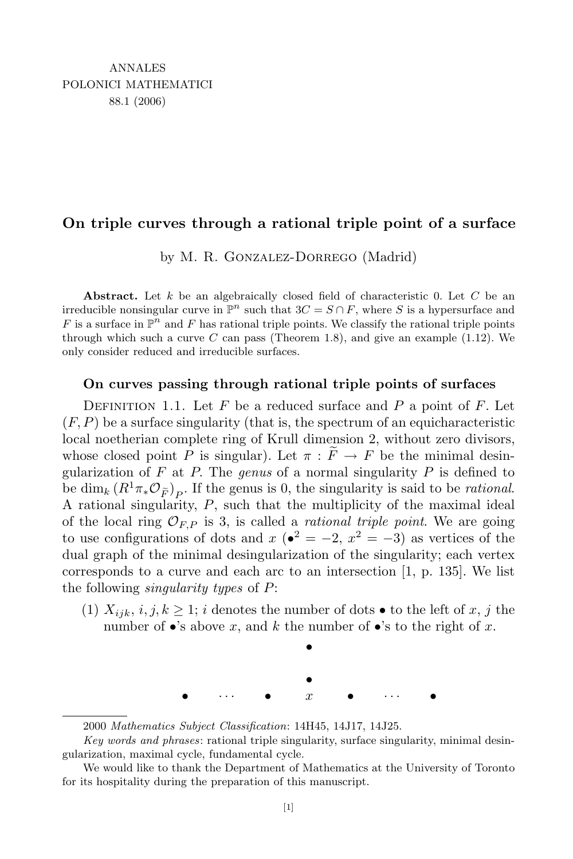## **On triple curves through a rational triple point of a surface**

by M. R. Gonzalez-Dorrego (Madrid)

**Abstract.** Let *k* be an algebraically closed field of characteristic 0. Let *C* be an irreducible nonsingular curve in  $\mathbb{P}^n$  such that  $3C = S \cap F$ , where *S* is a hypersurface and *F* is a surface in  $\mathbb{P}^n$  and *F* has rational triple points. We classify the rational triple points through which such a curve  $C$  can pass (Theorem 1.8), and give an example  $(1.12)$ . We only consider reduced and irreducible surfaces.

## **On curves passing through rational triple points of surfaces**

DEFINITION 1.1. Let  $F$  be a reduced surface and  $P$  a point of  $F$ . Let  $(F, P)$  be a surface singularity (that is, the spectrum of an equicharacteristic local noetherian complete ring of Krull dimension 2, without zero divisors, whose closed point *P* is singular). Let  $\pi : \widetilde{F} \to F$  be the minimal desingularization of *F* at *P.* The *genus* of a normal singularity *P* is defined to be dim<sub>*k*</sub>  $(R^1\pi_*\mathcal{O}_{\widetilde{F}})P$ . If the genus is 0, the singularity is said to be *rational*. A rational singularity, *P*, such that the multiplicity of the maximal ideal of the local ring  $\mathcal{O}_{F,P}$  is 3, is called a *rational triple point*. We are going to use configurations of dots and  $x$  ( $\bullet^2 = -2$ ,  $x^2 = -3$ ) as vertices of the dual graph of the minimal desingularization of the singularity; each vertex corresponds to a curve and each arc to an intersection [1, p. 135]. We list the following *singularity types* of *P*:

(1)  $X_{ijk}$ ,  $i, j, k \geq 1$ ; *i* denotes the number of dots  $\bullet$  to the left of *x*, *j* the number of  $\bullet$ 's above *x*, and *k* the number of  $\bullet$ 's to the right of *x*.



<sup>2000</sup> *Mathematics Subject Classification*: 14H45, 14J17, 14J25.

*Key words and phrases*: rational triple singularity, surface singularity, minimal desingularization, maximal cycle, fundamental cycle.

We would like to thank the Department of Mathematics at the University of Toronto for its hospitality during the preparation of this manuscript.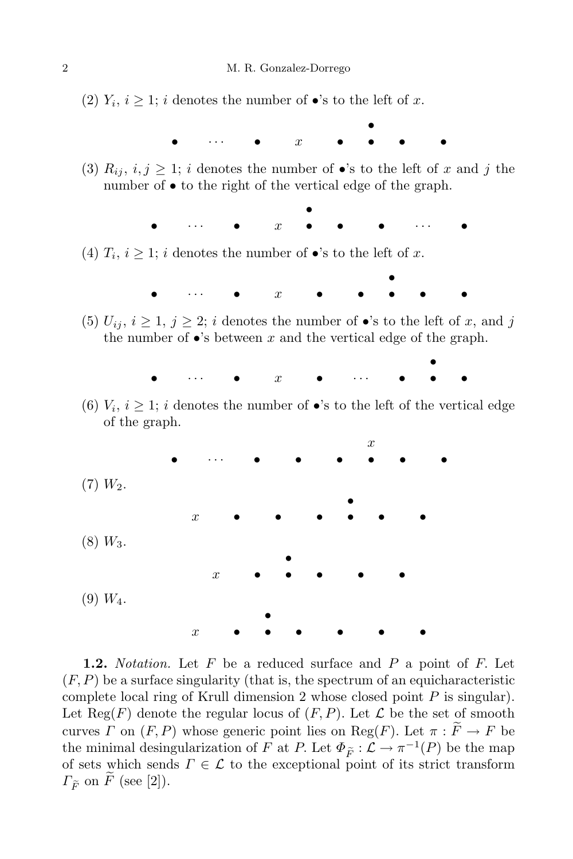(2)  $Y_i$ ,  $i \geq 1$ ; *i* denotes the number of •'s to the left of *x*.

*• • · · · • x • • • •*

(3)  $R_{ij}$ ,  $i, j \geq 1$ ; *i* denotes the number of •'s to the left of *x* and *j* the number of *•* to the right of the vertical edge of the graph.

> *• • · · · • x • • • · · · •*

(4)  $T_i$ ,  $i \geq 1$ ; *i* denotes the number of •'s to the left of *x*.



(5)  $U_{ij}$ ,  $i \geq 1$ ,  $j \geq 2$ ; *i* denotes the number of  $\bullet$ 's to the left of *x*, and *j* the number of  $\bullet$ 's between  $x$  and the vertical edge of the graph.



(6)  $V_i$ ,  $i \geq 1$ ; *i* denotes the number of •'s to the left of the vertical edge of the graph.



**1.2.** *Notation.* Let *F* be a reduced surface and *P* a point of *F.* Let (*F, P*) be a surface singularity (that is, the spectrum of an equicharacteristic complete local ring of Krull dimension 2 whose closed point *P* is singular). Let  $\text{Reg}(F)$  denote the regular locus of  $(F, P)$ . Let  $\mathcal L$  be the set of smooth curves *Γ* on  $(F, P)$  whose generic point lies on  $Reg(F)$ . Let  $\pi : F \to F$  be the minimal desingularization of *F* at *P*. Let  $\Phi_{\widetilde{F}} : \mathcal{L} \to \pi^{-1}(P)$  be the map of sets which sends  $\Gamma \in \mathcal{L}$  to the exceptional point of its strict transform  $\Gamma_{\widetilde{F}}$  on  $\widetilde{F}$  (see [2]).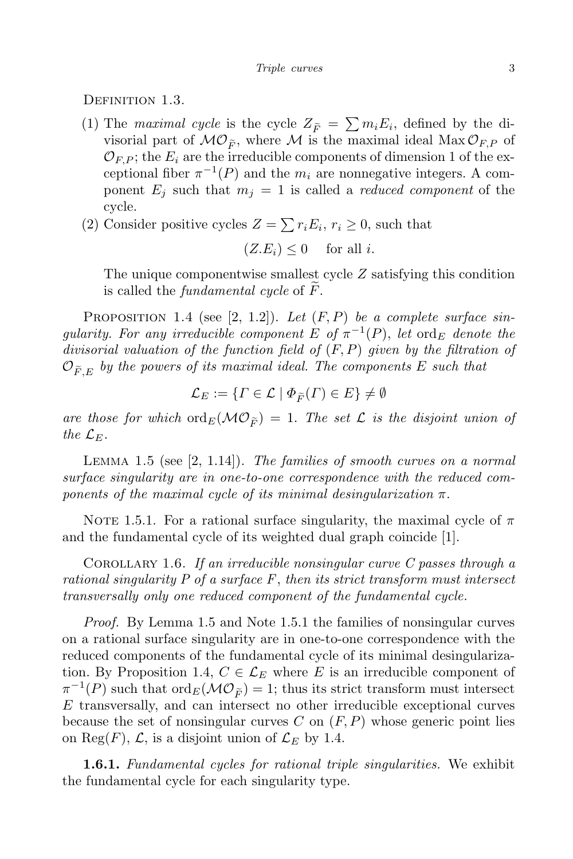DEFINITION 1.3.

- (1) The *maximal cycle* is the cycle  $Z_{\tilde{F}} = \sum m_i E_i$ , defined by the divisorial part of  $MO_{\widetilde{F}}$ , where M is the maximal ideal  $Max O_{F,P}$  of  $\mathcal{O}_{F,P}$ ; the  $E_i$  are the irreducible components of dimension 1 of the exceptional fiber  $\pi^{-1}(P)$  and the  $m_i$  are nonnegative integers. A component  $E_i$  such that  $m_i = 1$  is called a *reduced component* of the cycle.
- (2) Consider positive cycles  $Z = \sum r_i E_i$ ,  $r_i \ge 0$ , such that

$$
(Z.E_i) \le 0 \quad \text{ for all } i.
$$

The unique componentwise smallest cycle *Z* satisfying this condition is called the *fundamental cycle* of  $\ddot{F}$ .

Proposition 1.4 (see [2, 1.2]). *Let* (*F, P*) *be a complete surface singularity. For any irreducible component*  $E$  *of*  $\pi^{-1}(P)$ *, let* ord*E denote the divisorial valuation of the function field of* (*F, P*) *given by the filtration of*  $\mathcal{O}_{\widetilde{F}/E}$  by the powers of its maximal ideal. The components E such that

$$
\mathcal{L}_E := \{ \Gamma \in \mathcal{L} \mid \Phi_{\widetilde{F}}(\Gamma) \in E \} \neq \emptyset
$$

are those for which  $\text{ord}_E(\mathcal{MO}_{\widetilde{F}}) = 1$ . The set  $\mathcal L$  is the disjoint union of *the*  $\mathcal{L}_E$ *.* 

Lemma 1.5 (see [2, 1.14]). *The families of smooth curves on a normal surface singularity are in one-to-one correspondence with the reduced components of the maximal cycle of its minimal desingularization*  $\pi$ .

NOTE 1.5.1. For a rational surface singularity, the maximal cycle of  $\pi$ and the fundamental cycle of its weighted dual graph coincide [1].

Corollary 1.6. *If an irreducible nonsingular curve C passes through a rational singularity P of a surface F*, *then its strict transform must intersect transversally only one reduced component of the fundamental cycle.*

*Proof.* By Lemma 1.5 and Note 1.5.1 the families of nonsingular curves on a rational surface singularity are in one-to-one correspondence with the reduced components of the fundamental cycle of its minimal desingularization. By Proposition 1.4,  $C \in \mathcal{L}_E$  where *E* is an irreducible component of  $\pi^{-1}(P)$  such that  $\text{ord}_E(\mathcal{MO}_{\widetilde{F}})=1$ ; thus its strict transform must intersect *E* transversally, and can intersect no other irreducible exceptional curves because the set of nonsingular curves *C* on (*F, P*) whose generic point lies on Reg $(F)$ ,  $\mathcal{L}$ , is a disjoint union of  $\mathcal{L}_E$  by 1.4.

**1.6.1.** *Fundamental cycles for rational triple singularities.* We exhibit the fundamental cycle for each singularity type.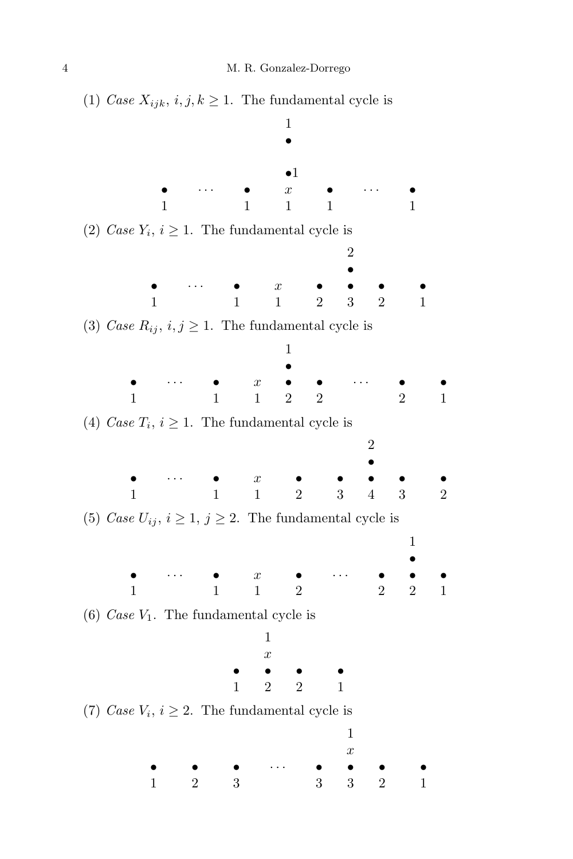(1) *Case*  $X_{ijk}$ ,  $i, j, k \ge 1$ . The fundamental cycle is 1 *•*  $\bullet 1$ <br>*x* **•** • • • **•** *x* **•** • • • • • • 1 1 1 1 1 (2) *Case*  $Y_i$ ,  $i \geq 1$ . The fundamental cycle is 2 *• • · · · • x • • • •* 1 1 1 2 3 2 1 (3) *Case*  $R_{ij}$ ,  $i, j \geq 1$ . The fundamental cycle is 1 *• • · · · • x • • · · · • •* 1 1 2 2 2 1 (4) *Case*  $T_i$ ,  $i \geq 1$ . The fundamental cycle is 2 *• • · · · • x • • • • •* 1 1 1 2 3 4 3 2 (5) *Case*  $U_{ij}$ ,  $i \geq 1$ ,  $j \geq 2$ . The fundamental cycle is 1 *• • · · · • x • · · · • • •* 1 1 2 2 2 1 (6) *Case V*1. The fundamental cycle is 1 *x • • • •* 1 2 2 1 (7) *Case*  $V_i$ ,  $i \geq 2$ . The fundamental cycle is 1 *x • • • · · · • • • •* 1 2 3 3 3 2 1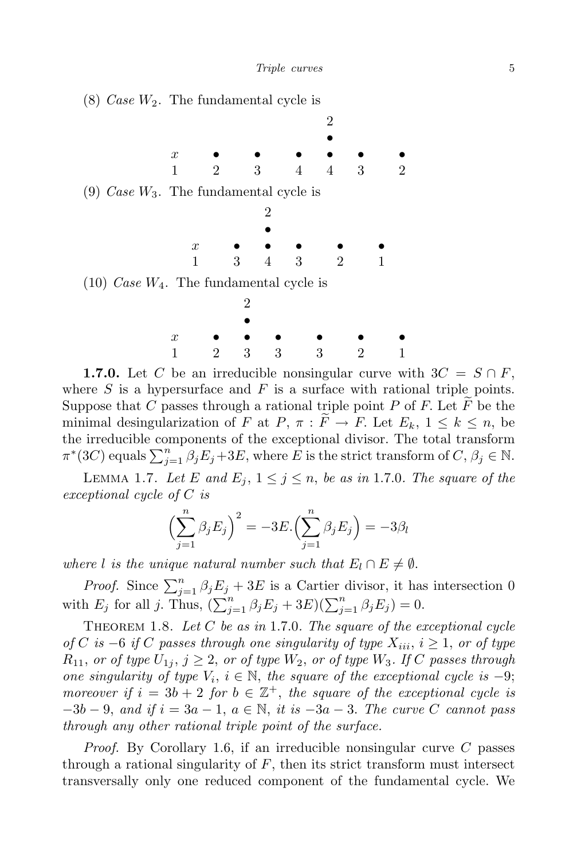

**1.7.0.** Let *C* be an irreducible nonsingular curve with  $3C = S \cap F$ , where  $S$  is a hypersurface and  $F$  is a surface with rational triple points. Suppose that  $C$  passes through a rational triple point  $P$  of  $F$ . Let  $F$  be the minimal desingularization of *F* at *P*,  $\pi : \widetilde{F} \to F$ . Let  $E_k$ ,  $1 \leq k \leq n$ , be the irreducible components of the exceptional divisor. The total transform  $\pi^*(3C)$  equals  $\sum_{j=1}^n \beta_j E_j + 3E$ , where *E* is the strict transform of *C*,  $\beta_j \in \mathbb{N}$ .

LEMMA 1.7. Let *E* and  $E_j$ ,  $1 \leq j \leq n$ , be as in 1.7.0*.* The square of the *exceptional cycle of C is*

$$
\left(\sum_{j=1}^{n} \beta_j E_j\right)^2 = -3E \cdot \left(\sum_{j=1}^{n} \beta_j E_j\right) = -3\beta_l
$$

*where l is the unique natural number such that*  $E_l \cap E \neq \emptyset$ *.* 

*Proof.* Since  $\sum_{j=1}^{n} \beta_j E_j + 3E$  is a Cartier divisor, it has intersection 0 with  $E_j$  for all *j*. Thus,  $(\sum_{j=1}^n \beta_j E_j + 3E)(\sum_{j=1}^n \beta_j E_j) = 0$ .

Theorem 1.8. *Let C be as in* 1*.*7*.*0*. The square of the exceptional cycle of*  $C$  *is* −6 *if*  $C$  *passes through one singularity of type*  $X_{iii}$ ,  $i ≥ 1$ , *or of type*  $R_{11}$ , *or of type*  $U_{1j}$ ,  $j \geq 2$ , *or of type*  $W_2$ , *or of type*  $W_3$ *. If C* passes through *one singularity of type*  $V_i$ ,  $i \in \mathbb{N}$ , the square of the exceptional cycle is -9; *moreover if*  $i = 3b + 2$  *for*  $b \in \mathbb{Z}^+$ , *the square of the exceptional cycle is −*3*b −* 9, *and if i* = 3*a −* 1, *a ∈* N, *it is −*3*a −* 3*. The curve C cannot pass through any other rational triple point of the surface.*

*Proof.* By Corollary 1.6, if an irreducible nonsingular curve *C* passes through a rational singularity of *F*, then its strict transform must intersect transversally only one reduced component of the fundamental cycle. We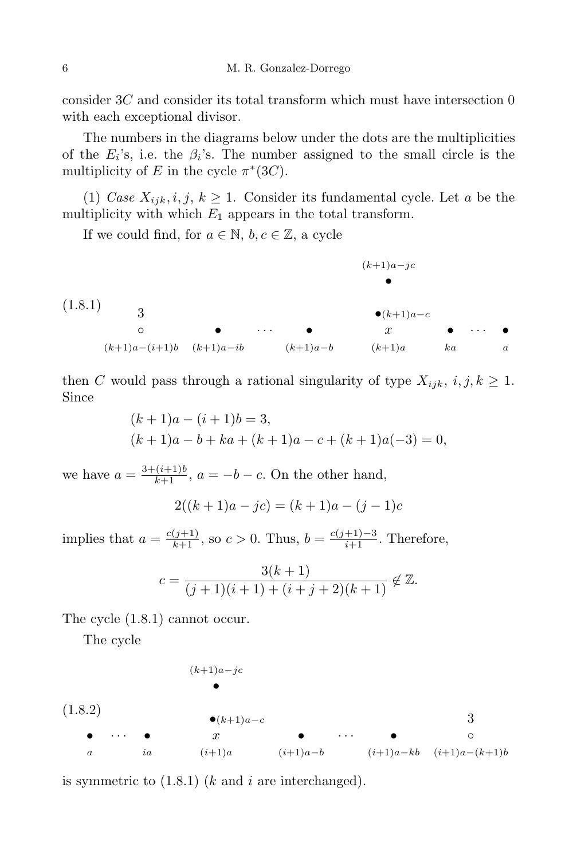consider 3*C* and consider its total transform which must have intersection 0 with each exceptional divisor.

The numbers in the diagrams below under the dots are the multiplicities of the  $E_i$ 's, i.e. the  $\beta_i$ 's. The number assigned to the small circle is the multiplicity of *E* in the cycle  $\pi^*(3C)$ *.* 

(1) *Case*  $X_{ijk}$ *, i, j, k*  $\geq$  1. Consider its fundamental cycle. Let *a* be the multiplicity with which  $E_1$  appears in the total transform.

If we could find, for  $a \in \mathbb{N}$ ,  $b, c \in \mathbb{Z}$ , a cycle



then *C* would pass through a rational singularity of type  $X_{ijk}$ ,  $i, j, k \geq 1$ . Since

$$
(k+1)a - (i+1)b = 3,
$$
  
\n
$$
(k+1)a - b + ka + (k+1)a - c + (k+1)a(-3) = 0,
$$

we have  $a = \frac{3 + (i+1)b}{k+1}$ ,  $a = -b - c$ . On the other hand,

$$
2((k+1)a - jc) = (k+1)a - (j-1)c
$$

implies that  $a = \frac{c(j+1)}{k+1}$ , so  $c > 0$ . Thus,  $b = \frac{c(j+1)-3}{i+1}$ . Therefore,

$$
c = \frac{3(k+1)}{(j+1)(i+1) + (i+j+2)(k+1)} \notin \mathbb{Z}.
$$

The cycle (1.8.1) cannot occur.

The cycle

$$
(k+1)a-jc
$$
\n
$$
\bullet
$$
\n
$$
(1.8.2)
$$
\n
$$
\bullet
$$
\n
$$
\bullet
$$
\n
$$
x
$$
\n
$$
a
$$
\n
$$
i\ddot{a}
$$
\n
$$
(i+1)a
$$
\n
$$
(i+1)a-b
$$
\n
$$
(i+1)a-kb
$$
\n
$$
(i+1)a-(k+1)b
$$

is symmetric to (1.8.1) (*k* and *i* are interchanged).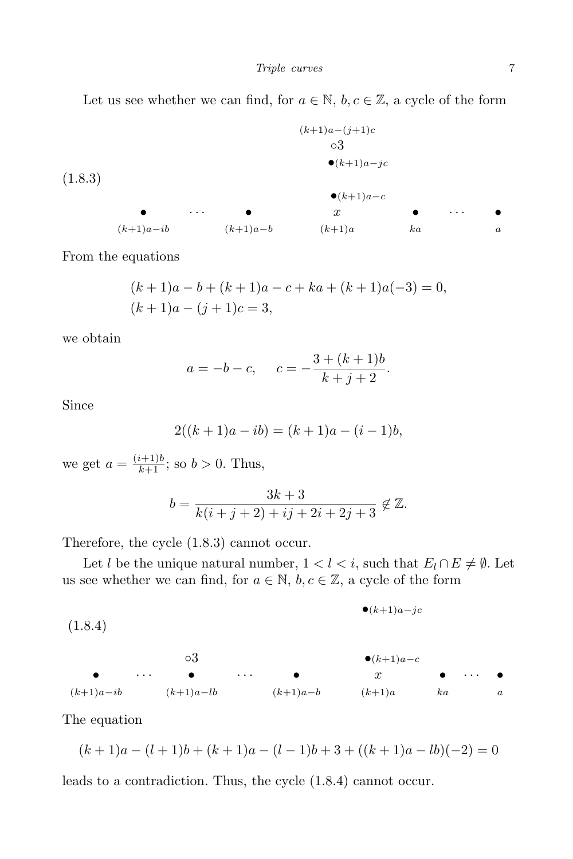Let us see whether we can find, for  $a \in \mathbb{N}$ ,  $b, c \in \mathbb{Z}$ , a cycle of the form

$$
(k+1)a-(j+1)c
$$
\n
$$
03
$$
\n
$$
(k+1)a-jc
$$
\n
$$
(1.8.3)
$$
\n
$$
(k+1)a-c
$$
\n
$$
(k+1)a-ib
$$
\n
$$
(k+1)a-b
$$
\n
$$
(k+1)a
$$
\n
$$
(k+1)a
$$
\n
$$
(k+1)a
$$
\n
$$
(k+1)a
$$
\n
$$
(k+1)a
$$
\n
$$
(k+1)a
$$
\n
$$
(k+1)a
$$
\n
$$
(k+1)a
$$

From the equations

$$
(k+1)a - b + (k+1)a - c + ka + (k+1)a(-3) = 0,
$$
  

$$
(k+1)a - (j+1)c = 3,
$$

we obtain

$$
a = -b - c, \quad c = -\frac{3 + (k+1)b}{k+j+2}.
$$

Since

$$
2((k+1)a - ib) = (k+1)a - (i-1)b,
$$

we get  $a = \frac{(i+1)b}{k+1}$ ; so  $b > 0$ . Thus,

$$
b = \frac{3k+3}{k(i+j+2)+ij+2i+2j+3} \notin \mathbb{Z}.
$$

Therefore, the cycle (1.8.3) cannot occur.

Let *l* be the unique natural number,  $1 < l < i$ , such that  $E_l \cap E \neq \emptyset$ . Let us see whether we can find, for  $a \in \mathbb{N}$ ,  $b, c \in \mathbb{Z}$ , a cycle of the form

$$
\bullet (k+1)a-jc
$$
 (1.8.4)

*◦*3 *•*(*k*+1)*a−<sup>c</sup> • · · · • · · · • x • · · · •* (*k*+1)*a−ib* (*k*+1)*a−lb* (*k*+1)*a−b* (*k*+1)*a ka a*

The equation

$$
(k+1)a - (l+1)b + (k+1)a - (l-1)b + 3 + ((k+1)a - lb)(-2) = 0
$$

leads to a contradiction. Thus, the cycle (1.8.4) cannot occur.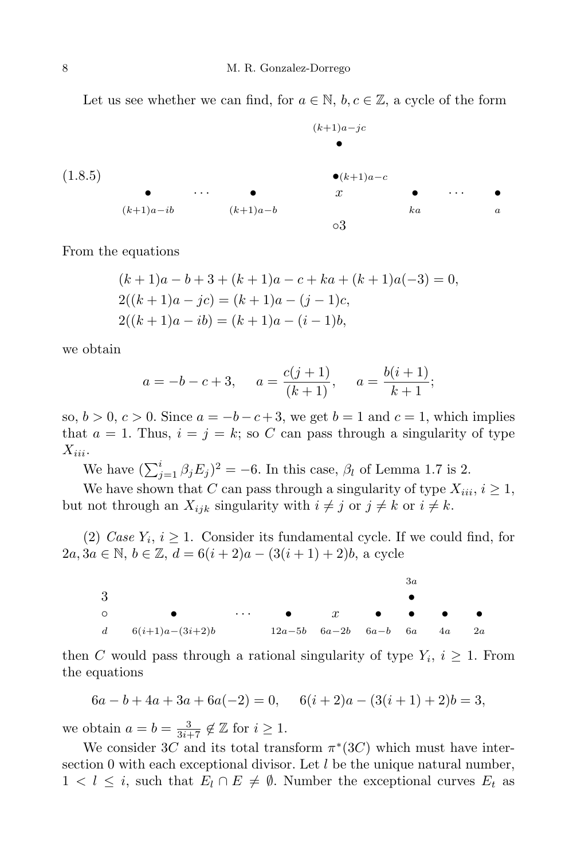Let us see whether we can find, for  $a \in \mathbb{N}$ ,  $b, c \in \mathbb{Z}$ , a cycle of the form

$$
(1.8.5)
$$
\n
$$
(1.8.5)
$$
\n
$$
(k+1)a-c
$$
\n
$$
(k+1)a-ib
$$
\n
$$
(k+1)a-b
$$
\n
$$
(k+1)a-b
$$
\n
$$
(k+1)a
$$
\n
$$
(k+1)a
$$
\n
$$
a
$$
\n
$$
a
$$

From the equations

$$
(k+1)a - b + 3 + (k+1)a - c + ka + (k+1)a(-3) = 0,
$$
  
\n
$$
2((k+1)a - jc) = (k+1)a - (j-1)c,
$$
  
\n
$$
2((k+1)a - ib) = (k+1)a - (i-1)b,
$$

we obtain

$$
a = -b - c + 3
$$
,  $a = \frac{c(j + 1)}{(k + 1)}$ ,  $a = \frac{b(i + 1)}{k + 1}$ ;

so,  $b > 0$ ,  $c > 0$ . Since  $a = -b - c + 3$ , we get  $b = 1$  and  $c = 1$ , which implies that  $a = 1$ . Thus,  $i = j = k$ ; so C can pass through a singularity of type *Xiii.*

We have  $(\sum_{j=1}^{i} \beta_j E_j)^2 = -6$ . In this case,  $\beta_l$  of Lemma 1.7 is 2.

We have shown that *C* can pass through a singularity of type  $X_{iii}$ ,  $i \geq 1$ , but not through an  $X_{ijk}$  singularity with  $i \neq j$  or  $j \neq k$  or  $i \neq k$ .

(2) *Case*  $Y_i$ ,  $i \geq 1$ . Consider its fundamental cycle. If we could find, for 2*a*, 3*a* ∈ N, *b* ∈ Z, *d* = 6(*i* + 2)*a* − (3(*i* + 1) + 2)*b*, a cycle



then *C* would pass through a rational singularity of type  $Y_i$ ,  $i \geq 1$ . From the equations

$$
6a - b + 4a + 3a + 6a(-2) = 0, \quad 6(i + 2)a - (3(i + 1) + 2)b = 3,
$$

we obtain  $a = b = \frac{3}{3i+7} \notin \mathbb{Z}$  for  $i \geq 1$ .

We consider 3*C* and its total transform  $\pi^*(3C)$  which must have intersection 0 with each exceptional divisor. Let *l* be the unique natural number, 1  $\lt l$  ≤ *i*, such that  $E_l \cap E \neq \emptyset$ . Number the exceptional curves  $E_t$  as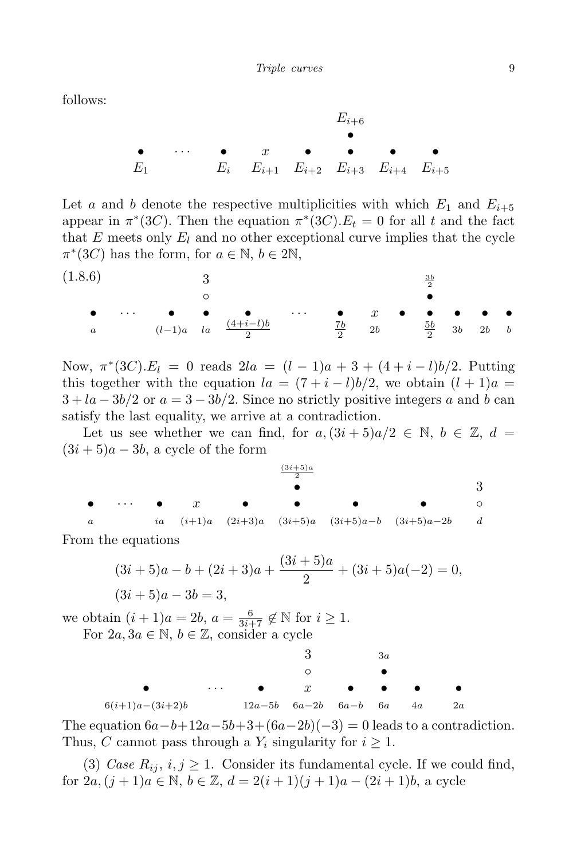follows:

$$
E_{i+6}
$$
\n•  $\cdots$ \n•  $\cdots$ \n•  $\cdots$ \n•  $\cdots$ \n•  $\cdots$ \nE<sub>i</sub> E<sub>i+1</sub> E<sub>i+2</sub> E<sub>i+3</sub> E<sub>i+4</sub> E<sub>i+5</sub>

Let *a* and *b* denote the respective multiplicities with which  $E_1$  and  $E_{i+5}$ appear in  $\pi^*(3C)$ . Then the equation  $\pi^*(3C)$ .  $E_t = 0$  for all *t* and the fact that *E* meets only *E<sup>l</sup>* and no other exceptional curve implies that the cycle  $\pi^*(3C)$  has the form, for  $a \in \mathbb{N}, b \in 2\mathbb{N}$ ,

(1*.*8*.*6) 3 3*b* 2 *◦ • • · · · • • • · · · • x • • • • • <sup>a</sup>* (*l−*1)*a la* (4+*i−l*)*<sup>b</sup>* 2 7*b* 2 2*b* 5*b* 2 3*b* 2*b b*

Now,  $\pi^*(3C) \cdot E_l = 0$  reads  $2la = (l-1)a + 3 + (4 + i - l)b/2$ . Putting this together with the equation  $la = (7 + i - l)b/2$ , we obtain  $(l + 1)a =$  $3 + la - 3b/2$  or  $a = 3 - 3b/2$ . Since no strictly positive integers a and b can satisfy the last equality, we arrive at a contradiction.

Let us see whether we can find, for  $a,(3i+5)a/2 \in \mathbb{N}, b \in \mathbb{Z}, d =$  $(3i + 5)a - 3b$ , a cycle of the form

(3*i*+5)*a* 2 *•* 3 *• · · · • x • • • • ◦ a ia* (*i*+1)*a* (2*i*+3)*a* (3*i*+5)*a* (3*i*+5)*a−b* (3*i*+5)*a−*2*b d*

From the equations

$$
(3i+5)a - b + (2i+3)a + \frac{(3i+5)a}{2} + (3i+5)a(-2) = 0,
$$
  

$$
(3i+5)a - 3b = 3,
$$

we obtain  $(i + 1)a = 2b$ ,  $a = \frac{6}{3i+7} \notin \mathbb{N}$  for  $i \ge 1$ . For  $2a, 3a \in \mathbb{N}, b \in \mathbb{Z}$ , consider a cycle

3 <sup>3</sup>*a*

| $\bullet$ $\bullet$ $x$ $\bullet$ $\bullet$ $\bullet$ |  |                                        |  |  |
|-------------------------------------------------------|--|----------------------------------------|--|--|
| $6(i+1)a - (3i+2)b$                                   |  | $12a-5b$ $6a-2b$ $6a-b$ $6a$ $4a$ $2a$ |  |  |

The equation  $6a-b+12a-5b+3+(6a-2b)(-3) = 0$  leads to a contradiction. Thus, *C* cannot pass through a  $Y_i$  singularity for  $i \geq 1$ .

(3) *Case*  $R_{ij}$ ,  $i, j \ge 1$ . Consider its fundamental cycle. If we could find, for  $2a, (j + 1)a \in \mathbb{N}, b \in \mathbb{Z}, d = 2(i + 1)(j + 1)a - (2i + 1)b$ , a cycle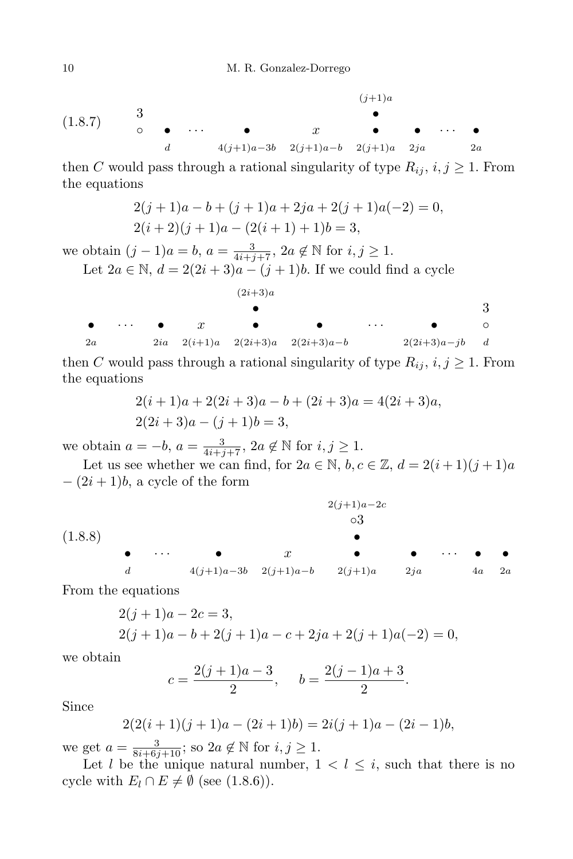$$
(1.8.7) \t 3 \t 4 \t 4(j+1)a-3b \t 2(j+1)a-b \t 2(j+1)a \t 2ja \t 2a
$$

then *C* would pass through a rational singularity of type  $R_{ij}$ ,  $i, j \geq 1$ . From the equations

$$
2(j+1)a - b + (j+1)a + 2ja + 2(j+1)a(-2) = 0,
$$
  

$$
2(i+2)(j+1)a - (2(i+1)+1)b = 3,
$$

we obtain  $(j - 1)a = b$ ,  $a = \frac{3}{4i+j+7}$ ,  $2a \notin \mathbb{N}$  for  $i, j \ge 1$ . Let  $2a \in \mathbb{N}$ ,  $d = 2(2i + 3)a - (j + 1)b$ . If we could find a cycle

$$
(2i+3)a
$$
\n
$$
\bullet
$$
\n
$$
\bullet
$$
\n
$$
2a
$$
\n
$$
\bullet
$$
\n
$$
2ia
$$
\n
$$
2(i+1)a
$$
\n
$$
2(2i+3)a
$$
\n
$$
2(2i+3)a-b
$$
\n
$$
2(2i+3)a-jb
$$
\n
$$
2(2i+3)a-jb
$$

then *C* would pass through a rational singularity of type  $R_{ij}$ ,  $i, j \geq 1$ . From the equations

$$
2(i + 1)a + 2(2i + 3)a - b + (2i + 3)a = 4(2i + 3)a,
$$
  

$$
2(2i + 3)a - (j + 1)b = 3,
$$

we obtain  $a = -b$ ,  $a = \frac{3}{4i+j+7}$ ,  $2a \notin \mathbb{N}$  for  $i, j \geq 1$ .

Let us see whether we can find, for  $2a \in \mathbb{N}$ ,  $b, c \in \mathbb{Z}$ ,  $d = 2(i+1)(j+1)a$ *−* (2*i* + 1)*b*, a cycle of the form

(1*.*8*.*8) 2(*j*+1)*a−*2*c ◦*3 *• • · · · • x • • · · · • • d* 4(*j*+1)*a−*3*b* 2(*j*+1)*a−b* 2(*j*+1)*a* 2*ja* 4*a* 2*a*

From the equations

$$
2(j + 1)a - 2c = 3,
$$
  
\n
$$
2(j + 1)a - b + 2(j + 1)a - c + 2ja + 2(j + 1)a(-2) = 0,
$$

we obtain

$$
c = \frac{2(j+1)a - 3}{2}
$$
,  $b = \frac{2(j-1)a + 3}{2}$ .

Since

$$
2(2(i + 1)(j + 1)a - (2i + 1)b) = 2i(j + 1)a - (2i - 1)b,
$$

we get  $a = \frac{3}{8i+6j+10}$ ; so  $2a \notin \mathbb{N}$  for  $i, j \geq 1$ .

Let *l* be the unique natural number,  $1 < l \leq i$ , such that there is no cycle with  $E_l \cap E \neq \emptyset$  (see (1.8.6)).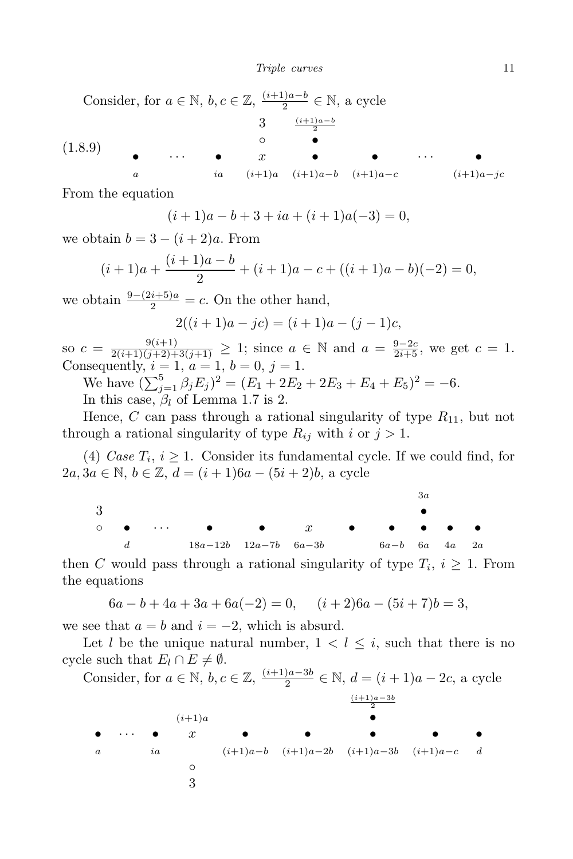Consider, for  $a \in \mathbb{N}$ ,  $b, c \in \mathbb{Z}$ ,  $\frac{(i+1)a - b}{2}$  $\frac{a}{2}$ <sup>*o*</sup> ∈ N, a cycle (1*.*8*.*9) 3 (*i*+1)*a−b* 2 *◦ • • · · · • x • • · · · • a ia* (*i*+1)*a* (*i*+1)*a−b* (*i*+1)*a−c* (*i*+1)*a−jc*

From the equation

$$
(i+1)a - b + 3 + ia + (i+1)a(-3) = 0,
$$

we obtain  $b = 3 - (i + 2)a$ . From

$$
(i+1)a + \frac{(i+1)a - b}{2} + (i+1)a - c + ((i+1)a - b)(-2) = 0,
$$

we obtain  $\frac{9-(2i+5)a}{2} = c$ . On the other hand,

$$
2((i + 1)a - jc) = (i + 1)a - (j - 1)c,
$$

so  $c = \frac{9(i+1)}{2(i+1)(j+2)+3(j+1)} \geq 1$ ; since  $a \in \mathbb{N}$  and  $a = \frac{9-2c}{2i+5}$ , we get  $c = 1$ . Consequently,  $i = 1, a = 1, b = 0, j = 1$ .

We have  $(\sum_{j=1}^{5} \beta_j E_j)^2 = (E_1 + 2E_2 + 2E_3 + E_4 + E_5)^2 = -6.$ In this case, *β<sup>l</sup>* of Lemma 1.7 is 2.

Hence, *C* can pass through a rational singularity of type  $R_{11}$ , but not through a rational singularity of type  $R_{ij}$  with *i* or  $j > 1$ .

(4) *Case*  $T_i$ ,  $i \geq 1$ . Consider its fundamental cycle. If we could find, for 2*a*, 3*a* ∈ N, *b* ∈ Z, *d* =  $(i + 1)6a - (5i + 2)b$ , a cycle

|    |  |                                                                                                      |  |                       | Зa |  |
|----|--|------------------------------------------------------------------------------------------------------|--|-----------------------|----|--|
| -3 |  |                                                                                                      |  |                       |    |  |
|    |  | $\circ$ $\bullet$ $\cdots$ $\bullet$ $\bullet$ $x$ $\bullet$ $\bullet$ $\bullet$ $\bullet$ $\bullet$ |  |                       |    |  |
|    |  | d $18a-12b$ $12a-7b$ $6a-3b$                                                                         |  | $6a-b$ $6a$ $4a$ $2a$ |    |  |

then *C* would pass through a rational singularity of type  $T_i$ ,  $i \geq 1$ . From the equations

$$
6a - b + 4a + 3a + 6a(-2) = 0, \quad (i+2)6a - (5i+7)b = 3,
$$

we see that  $a = b$  and  $i = -2$ , which is absurd.

Let *l* be the unique natural number,  $1 < l \leq i$ , such that there is no cycle such that  $E_l \cap E \neq \emptyset$ .

Consider, for  $a \in \mathbb{N}$ ,  $b, c \in \mathbb{Z}$ ,  $\frac{(i+1)a-3b}{2}$  $\frac{a^{i-3b}}{2}$  ∈ N,  $d = (i+1)a - 2c$ , a cycle (*i*+1)*a−*3*b*

2 (*i*+1)*a • • · · · • x • • • • • a ia* (*i*+1)*a−b* (*i*+1)*a−*2*b* (*i*+1)*a−*3*b* (*i*+1)*a−c d ◦* 3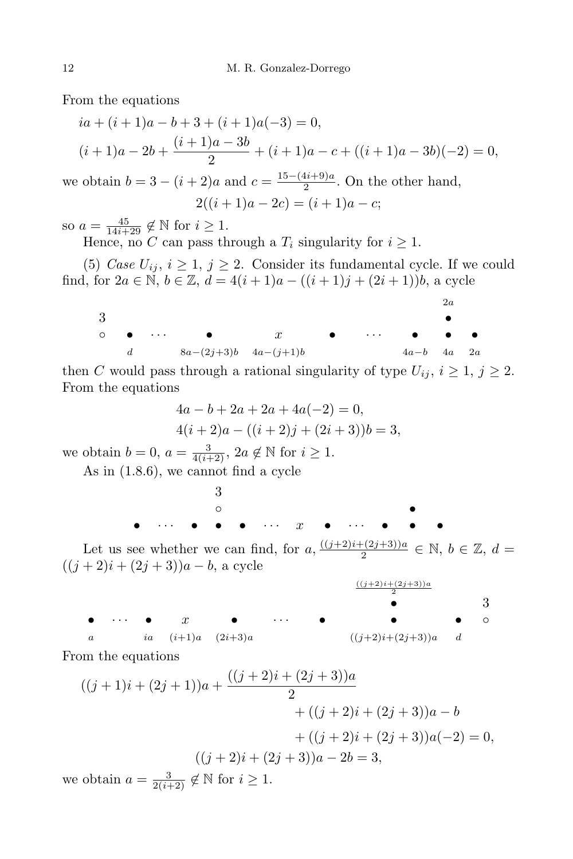From the equations

$$
ia + (i + 1)a - b + 3 + (i + 1)a(-3) = 0,
$$
  
\n
$$
(i + 1)a - 2b + \frac{(i + 1)a - 3b}{2} + (i + 1)a - c + ((i + 1)a - 3b)(-2) = 0,
$$

we obtain  $b = 3 - (i + 2)a$  and  $c = \frac{15 - (4i + 9)a}{2}$  $\frac{2^{i}+3i}{2}$ . On the other hand,

$$
2((i+1)a - 2c) = (i+1)a - c;
$$

so  $a = \frac{45}{14i+29} \notin \mathbb{N}$  for  $i \geq 1$ .

Hence, no *C* can pass through a  $T_i$  singularity for  $i \geq 1$ .

(5) *Case*  $U_{ij}$ ,  $i \geq 1$ ,  $j \geq 2$ . Consider its fundamental cycle. If we could find, for  $2a \in \mathbb{N}$ ,  $b \in \mathbb{Z}$ ,  $d = 4(i + 1)a - ((i + 1)j + (2i + 1))b$ , a cycle

2*a* 3 *• ◦ • · · · • x • · · · • • • d* 8*a−*(2*j*+3)*b* 4*a−*(*j*+1)*b* 4*a−b* 4*a* 2*a*

then *C* would pass through a rational singularity of type  $U_{ij}$ ,  $i \geq 1$ ,  $j \geq 2$ . From the equations

$$
4a - b + 2a + 2a + 4a(-2) = 0,
$$
  

$$
4(i + 2)a - ((i + 2)j + (2i + 3))b = 3,
$$

we obtain  $b = 0$ ,  $a = \frac{3}{4(i+2)}$ ,  $2a \notin \mathbb{N}$  for  $i \geq 1$ .

As in (1.8.6), we cannot find a cycle

|  |      |  |  | $\bullet$ and $\bullet$ and $\bullet$ and $\bullet$ and $\bullet$ and $\bullet$ and $\bullet$ and $\bullet$ and $\bullet$ and $\bullet$ |  |  |
|--|------|--|--|-----------------------------------------------------------------------------------------------------------------------------------------|--|--|
|  |      |  |  |                                                                                                                                         |  |  |
|  | - 3- |  |  |                                                                                                                                         |  |  |

Let us see whether we can find, for  $a, \frac{((j+2)i+(2j+3))a}{2}$  $\frac{-(2j+3))a}{2}$  ∈ N, *b* ∈ Z, *d* =  $((j + 2)i + (2j + 3))a - b$ , a cycle



From the equations

$$
((j+1)i + (2j+1))a + \frac{((j+2)i + (2j+3))a}{2} + ((j+2)i + (2j+3))a - b + ((j+2)i + (2j+3))a(-2) = 0,
$$
  

$$
((j+2)i + (2j+3))a - 2b = 3,
$$
  
we obtain  $a = \frac{3}{2(i+2)} \notin \mathbb{N}$  for  $i \ge 1$ .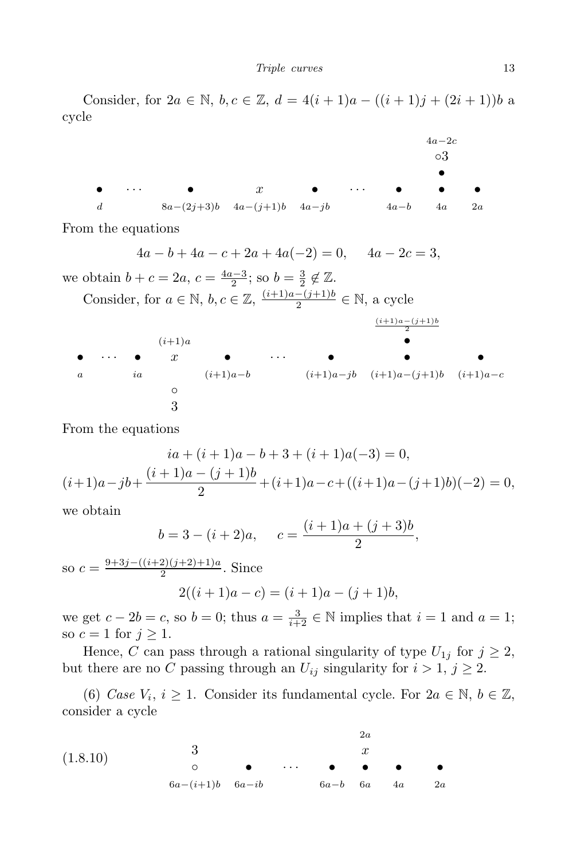Consider, for  $2a \in \mathbb{N}$ ,  $b, c \in \mathbb{Z}$ ,  $d = 4(i + 1)a - ((i + 1)j + (2i + 1))b$  a cycle

\n
$$
\begin{array}{ccccccc}\n & 4a - 2c & & & \\
& 0 & & & \\
& & & & \\
d & & 8a - (2j + 3)b & & 4a - (j + 1)b & & 4a - jb & & \\
& & 4a - 6 & & 4a & & 2a \\
\end{array}
$$
\n

From the equations

$$
4a - b + 4a - c + 2a + 4a(-2) = 0, \quad 4a - 2c = 3,
$$

we obtain  $b + c = 2a, c = \frac{4a-3}{2}$  $\frac{b-3}{2}$ ; so  $b = \frac{3}{2}$  $\frac{3}{2} \notin \mathbb{Z}$ .

Consider, for  $a \in \mathbb{N}$ ,  $b, c \in \mathbb{Z}$ ,  $\frac{(i+1)a-(j+1)b}{2}$  $\frac{-(j+1)b}{2} \in \mathbb{N}$ , a cycle

2 (*i*+1)*<sup>a</sup> • • · · · • x • · · · • • • a ia* (*i*+1)*a−b* (*i*+1)*a−jb* (*i*+1)*a−*(*j*+1)*b* (*i*+1)*a−c ◦* 3

(*i*+1)*a−*(*j*+1)*b*

From the equations

$$
ia + (i + 1)a - b + 3 + (i + 1)a(-3) = 0,
$$
  

$$
(i+1)a - jb + \frac{(i + 1)a - (j + 1)b}{2} + (i+1)a - c + ((i+1)a - (j+1)b)(-2) = 0,
$$

we obtain

$$
b = 3 - (i + 2)a, \quad c = \frac{(i + 1)a + (j + 3)b}{2},
$$

so  $c = \frac{9+3j-((i+2)(j+2)+1)a}{2}$  $\frac{2(1)(1+2)+1/a}{2}$ . Since  $2((i+1)a - c) = (i+1)a - (i+1)b$ ,

we get  $c - 2b = c$ , so  $b = 0$ ; thus  $a = \frac{3}{i+2} \in \mathbb{N}$  implies that  $i = 1$  and  $a = 1$ ; so  $c = 1$  for  $j \geq 1$ .

Hence, *C* can pass through a rational singularity of type  $U_{1j}$  for  $j \geq 2$ , but there are no *C* passing through an  $U_{ij}$  singularity for  $i > 1$ ,  $j \geq 2$ .

(6) *Case*  $V_i$ ,  $i \geq 1$ . Consider its fundamental cycle. For  $2a \in \mathbb{N}$ ,  $b \in \mathbb{Z}$ , consider a cycle

(1*.*8*.*10) 2*a* 3 *x ◦ • · · · • • • •* 6*a−*(*i*+1)*b* 6*a−ib* 6*a−b* 6*a* 4*a* 2*a*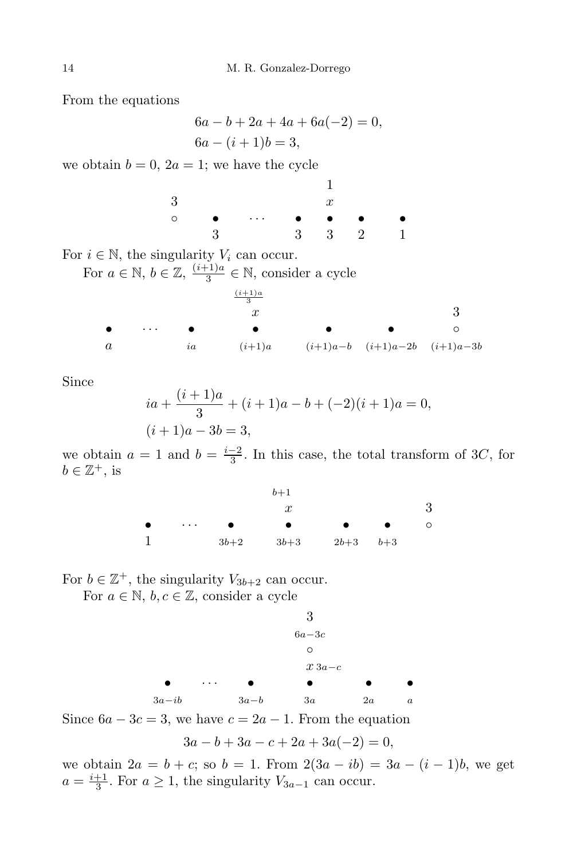From the equations

 $6a - b + 2a + 4a + 6a(-2) = 0$  $6a - (i + 1)b = 3$ 

we obtain  $b = 0$ ,  $2a = 1$ ; we have the cycle

1 3 *x ◦ • · · · • • • •* 3 3 3 2 1

For  $i \in \mathbb{N}$ , the singularity  $V_i$  can occur.

For  $a \in \mathbb{N}$ ,  $b \in \mathbb{Z}$ ,  $\frac{(i+1)a}{3}$  $\frac{(-1)a}{3}$  ∈ N, consider a cycle



Since

$$
ia + \frac{(i+1)a}{3} + (i+1)a - b + (-2)(i+1)a = 0,
$$
  
(i+1)a - 3b = 3,

we obtain  $a = 1$  and  $b = \frac{i-2}{3}$  $\frac{-2}{3}$ . In this case, the total transform of 3*C*, for  $b \in \mathbb{Z}^+, \text{ is }$ 

|          |        | $b+1$            |              |   |
|----------|--------|------------------|--------------|---|
|          |        | $\boldsymbol{x}$ |              | 3 |
| $\cdots$ |        |                  |              |   |
|          | $3b+2$ | $3b+3$           | $2b+3$ $b+3$ |   |

For  $b \in \mathbb{Z}^+$ , the singularity  $V_{3b+2}$  can occur.

For  $a \in \mathbb{N}$ ,  $b, c \in \mathbb{Z}$ , consider a cycle

3  
\n
$$
6a-3c
$$
  
\n0  
\n $x \cdot 3a-c$   
\n3a-ib  
\n $3a-b$   
\n3a  
\n $2a$   
\na

Since  $6a - 3c = 3$ , we have  $c = 2a - 1$ . From the equation

$$
3a - b + 3a - c + 2a + 3a(-2) = 0,
$$

we obtain  $2a = b + c$ ; so  $b = 1$ . From  $2(3a - ib) = 3a - (i - 1)b$ , we get  $a = \frac{i+1}{3}$  $\frac{+1}{3}$ . For *a* ≥ 1, the singularity  $V_{3a-1}$  can occur.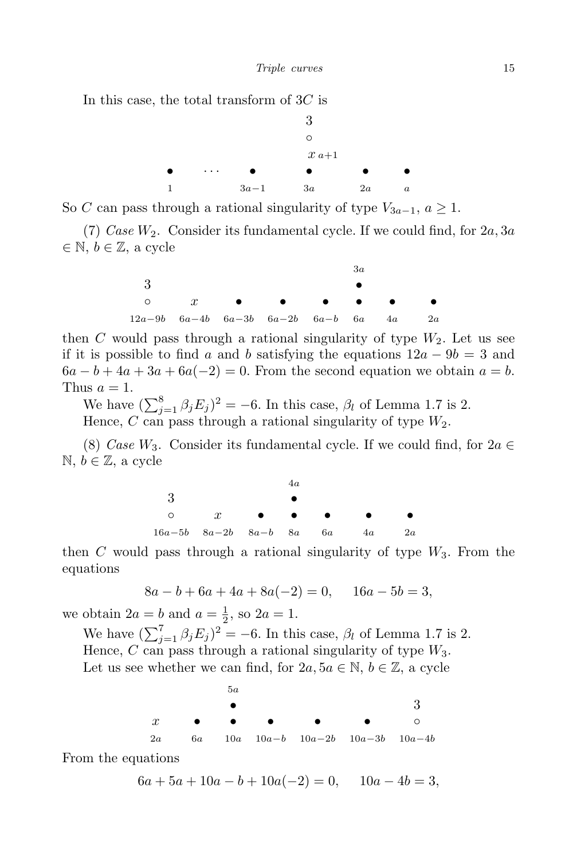In this case, the total transform of 3*C* is



So *C* can pass through a rational singularity of type  $V_{3a-1}$ ,  $a \geq 1$ .

(7) *Case W*2. Consider its fundamental cycle. If we could find, for 2*a,* 3*a ∈* N, *b ∈* Z, a cycle

|                                                        |  |                                                               | 3а |  |
|--------------------------------------------------------|--|---------------------------------------------------------------|----|--|
|                                                        |  |                                                               |    |  |
|                                                        |  | $\circ$ $x$ $\bullet$ $\bullet$ $\bullet$ $\bullet$ $\bullet$ |    |  |
| $12a-9b$ $6a-4b$ $6a-3b$ $6a-2b$ $6a-b$ $6a$ $4a$ $2a$ |  |                                                               |    |  |

then *C* would pass through a rational singularity of type  $W_2$ . Let us see if it is possible to find *a* and *b* satisfying the equations  $12a - 9b = 3$  and  $6a - b + 4a + 3a + 6a(-2) = 0$ . From the second equation we obtain  $a = b$ . Thus  $a = 1$ .

We have  $(\sum_{j=1}^{8} \beta_j E_j)^2 = -6$ . In this case,  $\beta_l$  of Lemma 1.7 is 2. Hence, *C* can pass through a rational singularity of type *W*2*.*

(8) *Case*  $W_3$ . Consider its fundamental cycle. If we could find, for  $2a \in$ N, *b ∈* Z, a cycle

|                                           | 4α |           |    |
|-------------------------------------------|----|-----------|----|
|                                           |    |           |    |
| $\circ$ $x$ $\bullet$ $\bullet$ $\bullet$ |    | $\bullet$ |    |
| $16a-5b$ $8a-2b$ $8a-b$ $8a$ $6a$ $4a$    |    |           | 2a |

then *C* would pass through a rational singularity of type  $W_3$ . From the equations

$$
8a - b + 6a + 4a + 8a(-2) = 0, \quad 16a - 5b = 3,
$$

we obtain  $2a = b$  and  $a = \frac{1}{2}$  $\frac{1}{2}$ , so  $2a = 1$ .

We have  $(\sum_{j=1}^{7} \beta_j E_j)^2 = -6$ . In this case,  $\beta_l$  of Lemma 1.7 is 2. Hence, *C* can pass through a rational singularity of type *W*3*.* Let us see whether we can find, for  $2a, 5a \in \mathbb{N}, b \in \mathbb{Z}$ , a cycle

|                  | 5a |                               |                                      |           |         |
|------------------|----|-------------------------------|--------------------------------------|-----------|---------|
|                  |    |                               |                                      |           |         |
| $\boldsymbol{x}$ |    | $\bullet$ $\bullet$ $\bullet$ | $\bullet$ and $\bullet$              | $\bullet$ | $\circ$ |
|                  |    |                               | 2a 6a 10a 10a-b 10a-2b 10a-3b 10a-4b |           |         |

From the equations

 $6a + 5a + 10a - b + 10a(-2) = 0, \quad 10a - 4b = 3,$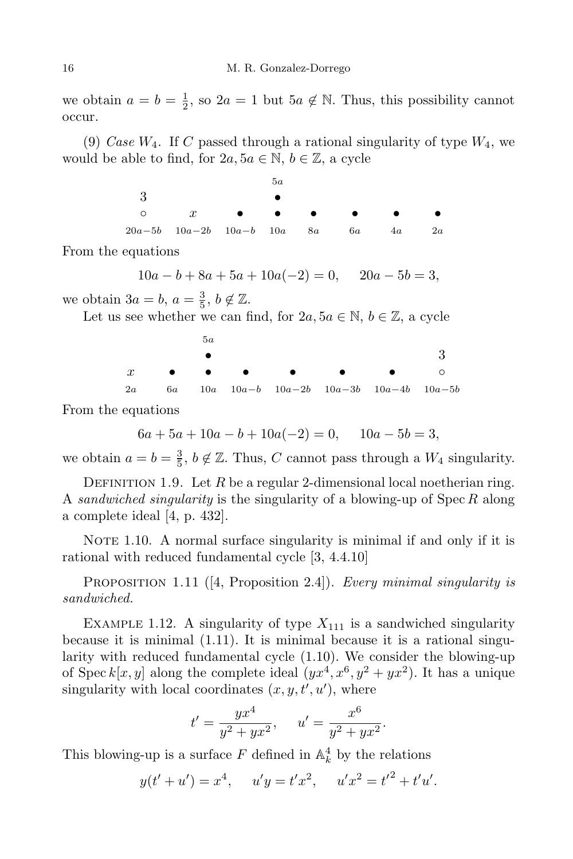we obtain  $a = b = \frac{1}{2}$  $\frac{1}{2}$ , so  $2a = 1$  but  $5a \notin \mathbb{N}$ . Thus, this possibility cannot occur.

(9) *Case W*4. If *C* passed through a rational singularity of type *W*4, we would be able to find, for  $2a, 5a \in \mathbb{N}, b \in \mathbb{Z}$ , a cycle

|                                                     | 5а |  |    |
|-----------------------------------------------------|----|--|----|
|                                                     |    |  |    |
| $\circ$ $x$ $\bullet$ $\bullet$ $\bullet$ $\bullet$ |    |  |    |
| $20a-5b$ $10a-2b$ $10a-b$ $10a$ $8a$ $6a$ $4a$      |    |  | 2a |

From the equations

 $10a - b + 8a + 5a + 10a(-2) = 0$ ,  $20a - 5b = 3$ ,

we obtain  $3a = b$ ,  $a = \frac{3}{5}$  $\frac{3}{5}$ ,  $b \notin \mathbb{Z}$ .

Let us see whether we can find, for  $2a, 5a \in \mathbb{N}, b \in \mathbb{Z}$ , a cycle

|  | 5a |                                             |  |  |
|--|----|---------------------------------------------|--|--|
|  |    |                                             |  |  |
|  |    | $x$ $\circ$                                 |  |  |
|  |    | 2a 6a 10a 10a-b 10a-2b 10a-3b 10a-4b 10a-5b |  |  |

From the equations

$$
6a + 5a + 10a - b + 10a(-2) = 0, \quad 10a - 5b = 3,
$$

we obtain  $a = b = \frac{3}{5}$  $\frac{3}{5}$ ,  $b \notin \mathbb{Z}$ . Thus, *C* cannot pass through a  $W_4$  singularity.

DEFINITION 1.9. Let  $R$  be a regular 2-dimensional local noetherian ring. A *sandwiched singularity* is the singularity of a blowing-up of Spec *R* along a complete ideal [4, p. 432].

NOTE 1.10. A normal surface singularity is minimal if and only if it is rational with reduced fundamental cycle [3, 4.4.10]

Proposition 1.11 ([4, Proposition 2.4]). *Every minimal singularity is sandwiched.*

EXAMPLE 1.12. A singularity of type  $X_{111}$  is a sandwiched singularity because it is minimal (1.11). It is minimal because it is a rational singularity with reduced fundamental cycle (1.10). We consider the blowing-up of Spec  $k[x, y]$  along the complete ideal  $(yx^4, x^6, y^2 + yx^2)$ . It has a unique singularity with local coordinates  $(x, y, t', u')$ , where

$$
t' = \frac{yx^4}{y^2 + yx^2}, \quad u' = \frac{x^6}{y^2 + yx^2}.
$$

This blowing-up is a surface  $F$  defined in  $\mathbb{A}_k^4$  by the relations

$$
y(t' + u') = x4
$$
,  $u'y = t'x2$ ,  $u'x2 = t'2 + t'u'$ .